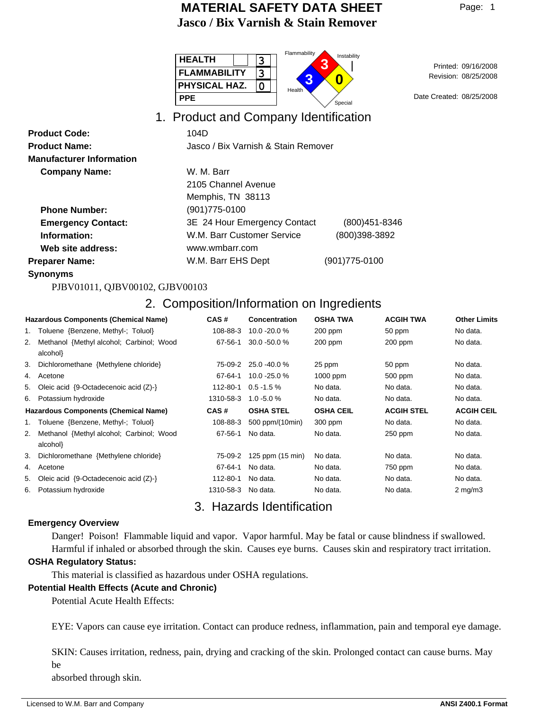| <b>HEALTH</b><br>ר       | Flammability<br>Instability |
|--------------------------|-----------------------------|
| <b>FLAMMABILITY</b><br>ີ |                             |
| <b>PHYSICAL HAZ.</b>     | Health                      |
| <b>PPE</b>               | Dat<br>Special              |

08/25/2008 Revision: Printed: 09/16/2008

Date Created: 08/25/2008

## 1. Product and Company Identification

| <b>Product Code:</b>            | 104D                                |                   |  |
|---------------------------------|-------------------------------------|-------------------|--|
| <b>Product Name:</b>            | Jasco / Bix Varnish & Stain Remover |                   |  |
| <b>Manufacturer Information</b> |                                     |                   |  |
| <b>Company Name:</b>            | W. M. Barr                          |                   |  |
|                                 | 2105 Channel Avenue                 |                   |  |
|                                 | Memphis, TN 38113                   |                   |  |
| <b>Phone Number:</b>            | (901)775-0100                       |                   |  |
| <b>Emergency Contact:</b>       | 3E 24 Hour Emergency Contact        | $(800)451 - 8346$ |  |
| Information:                    | W.M. Barr Customer Service          | (800)398-3892     |  |
| Web site address:               | www.wmbarr.com                      |                   |  |
| <b>Preparer Name:</b>           | W.M. Barr EHS Dept                  | (901)775-0100     |  |

**Synonyms**

PJBV01011, QJBV00102, GJBV00103

## 2. Composition/Information on Ingredients

| <b>Hazardous Components (Chemical Name)</b> |                                                          | CAS#          | <b>Concentration</b> | <b>OSHA TWA</b>  | <b>ACGIH TWA</b>  | <b>Other Limits</b> |
|---------------------------------------------|----------------------------------------------------------|---------------|----------------------|------------------|-------------------|---------------------|
|                                             | 1. Toluene {Benzene, Methyl-; Toluol}                    | 108-88-3      | 10.0 - 20.0 %        | 200 ppm          | 50 ppm            | No data.            |
| 2.                                          | Methanol {Methyl alcohol; Carbinol; Wood<br>alcohol}     | $67 - 56 - 1$ | $30.0 - 50.0 %$      | $200$ ppm        | $200$ ppm         | No data.            |
| 3.                                          | Dichloromethane {Methylene chloride}                     | 75-09-2       | 25.0 -40.0 %         | 25 ppm           | 50 ppm            | No data.            |
|                                             | 4. Acetone                                               | 67-64-1       | 10.0 - 25.0 %        | 1000 ppm         | 500 ppm           | No data.            |
| 5.                                          | Oleic acid $\{9\text{-Octadecenoic acid (Z)}\}$          | 112-80-1      | $0.5 - 1.5 \%$       | No data.         | No data.          | No data.            |
| 6.                                          | Potassium hydroxide                                      | 1310-58-3     | $1.0 - 5.0 %$        | No data.         | No data.          | No data.            |
| <b>Hazardous Components (Chemical Name)</b> |                                                          | CAS#          | <b>OSHA STEL</b>     | <b>OSHA CEIL</b> | <b>ACGIH STEL</b> | <b>ACGIH CEIL</b>   |
| 1.                                          | Toluene {Benzene, Methyl-; Toluol}                       | 108-88-3      | 500 ppm/(10min)      | 300 ppm          | No data.          | No data.            |
| 2.                                          | Methanol {Methyl alcohol; Carbinol; Wood<br>alcohol}     | 67-56-1       | No data.             | No data.         | 250 ppm           | No data.            |
| 3.                                          | Dichloromethane {Methylene chloride}                     | 75-09-2       | 125 ppm (15 min)     | No data.         | No data.          | No data.            |
| 4.                                          | Acetone                                                  | 67-64-1       | No data.             | No data.         | 750 ppm           | No data.            |
| 5.                                          | Oleic acid $\{9\text{-Octadecenoic acid }(\mathbb{Z})\}$ | 112-80-1      | No data.             | No data.         | No data.          | No data.            |
| 6.                                          | Potassium hydroxide                                      | 1310-58-3     | No data.             | No data.         | No data.          | $2 \text{ mg/m}$ 3  |

## 3. Hazards Identification

#### **Emergency Overview**

Danger! Poison! Flammable liquid and vapor. Vapor harmful. May be fatal or cause blindness if swallowed.

Harmful if inhaled or absorbed through the skin. Causes eye burns. Causes skin and respiratory tract irritation. **OSHA Regulatory Status:**

This material is classified as hazardous under OSHA regulations.

#### **Potential Health Effects (Acute and Chronic)**

Potential Acute Health Effects:

EYE: Vapors can cause eye irritation. Contact can produce redness, inflammation, pain and temporal eye damage.

SKIN: Causes irritation, redness, pain, drying and cracking of the skin. Prolonged contact can cause burns. May be

absorbed through skin.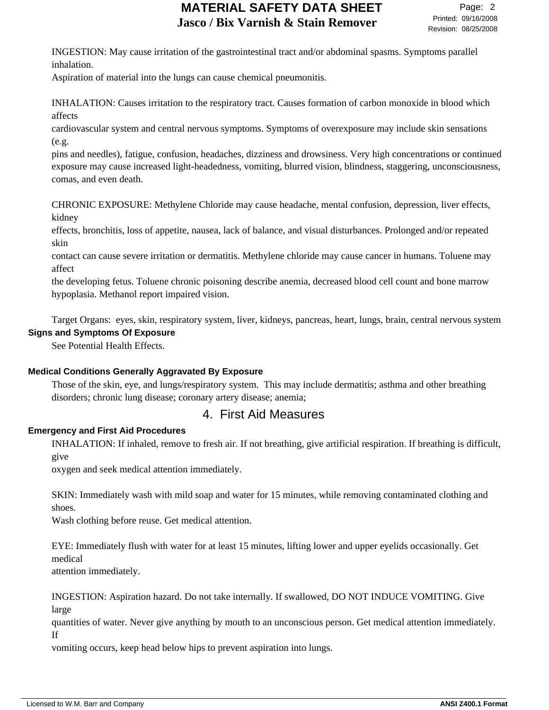INGESTION: May cause irritation of the gastrointestinal tract and/or abdominal spasms. Symptoms parallel inhalation.

Aspiration of material into the lungs can cause chemical pneumonitis.

INHALATION: Causes irritation to the respiratory tract. Causes formation of carbon monoxide in blood which affects

cardiovascular system and central nervous symptoms. Symptoms of overexposure may include skin sensations (e.g.

pins and needles), fatigue, confusion, headaches, dizziness and drowsiness. Very high concentrations or continued exposure may cause increased light-headedness, vomiting, blurred vision, blindness, staggering, unconsciousness, comas, and even death.

CHRONIC EXPOSURE: Methylene Chloride may cause headache, mental confusion, depression, liver effects, kidney

effects, bronchitis, loss of appetite, nausea, lack of balance, and visual disturbances. Prolonged and/or repeated skin

contact can cause severe irritation or dermatitis. Methylene chloride may cause cancer in humans. Toluene may affect

the developing fetus. Toluene chronic poisoning describe anemia, decreased blood cell count and bone marrow hypoplasia. Methanol report impaired vision.

Target Organs: eyes, skin, respiratory system, liver, kidneys, pancreas, heart, lungs, brain, central nervous system **Signs and Symptoms Of Exposure**

See Potential Health Effects.

#### **Medical Conditions Generally Aggravated By Exposure**

Those of the skin, eye, and lungs/respiratory system. This may include dermatitis; asthma and other breathing disorders; chronic lung disease; coronary artery disease; anemia;

### 4. First Aid Measures

#### **Emergency and First Aid Procedures**

INHALATION: If inhaled, remove to fresh air. If not breathing, give artificial respiration. If breathing is difficult, give

oxygen and seek medical attention immediately.

SKIN: Immediately wash with mild soap and water for 15 minutes, while removing contaminated clothing and shoes.

Wash clothing before reuse. Get medical attention.

EYE: Immediately flush with water for at least 15 minutes, lifting lower and upper eyelids occasionally. Get medical

attention immediately.

INGESTION: Aspiration hazard. Do not take internally. If swallowed, DO NOT INDUCE VOMITING. Give large

quantities of water. Never give anything by mouth to an unconscious person. Get medical attention immediately. If

vomiting occurs, keep head below hips to prevent aspiration into lungs.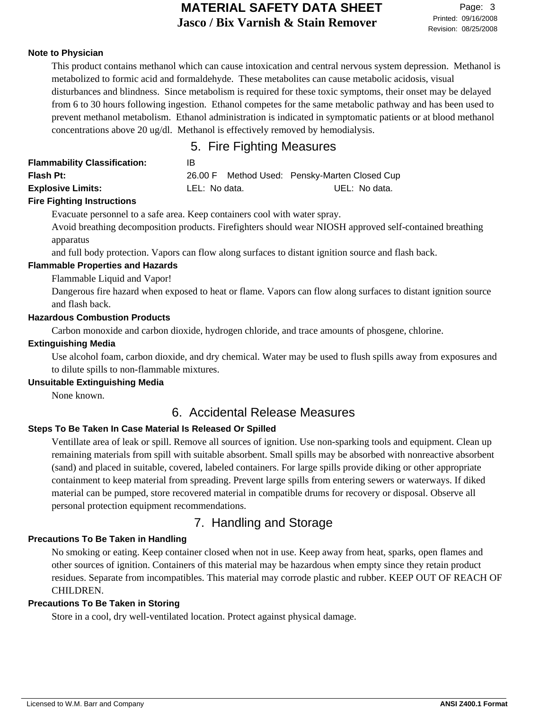#### **Note to Physician**

This product contains methanol which can cause intoxication and central nervous system depression. Methanol is metabolized to formic acid and formaldehyde. These metabolites can cause metabolic acidosis, visual disturbances and blindness. Since metabolism is required for these toxic symptoms, their onset may be delayed from 6 to 30 hours following ingestion. Ethanol competes for the same metabolic pathway and has been used to prevent methanol metabolism. Ethanol administration is indicated in symptomatic patients or at blood methanol concentrations above 20 ug/dl. Methanol is effectively removed by hemodialysis.

### 5. Fire Fighting Measures

| <b>Flammability Classification:</b> | IB            |                                               |
|-------------------------------------|---------------|-----------------------------------------------|
| <b>Flash Pt:</b>                    |               | 26.00 F Method Used: Pensky-Marten Closed Cup |
| <b>Explosive Limits:</b>            | LEL: No data. | UEL: No data.                                 |
| <b>Eiro Eighting Instructions</b>   |               |                                               |

#### **Fire Fighting Instructions**

Evacuate personnel to a safe area. Keep containers cool with water spray.

Avoid breathing decomposition products. Firefighters should wear NIOSH approved self-contained breathing apparatus

and full body protection. Vapors can flow along surfaces to distant ignition source and flash back.

#### **Flammable Properties and Hazards**

Flammable Liquid and Vapor!

Dangerous fire hazard when exposed to heat or flame. Vapors can flow along surfaces to distant ignition source and flash back.

#### **Hazardous Combustion Products**

Carbon monoxide and carbon dioxide, hydrogen chloride, and trace amounts of phosgene, chlorine.

#### **Extinguishing Media**

Use alcohol foam, carbon dioxide, and dry chemical. Water may be used to flush spills away from exposures and to dilute spills to non-flammable mixtures.

#### **Unsuitable Extinguishing Media**

None known.

### 6. Accidental Release Measures

#### **Steps To Be Taken In Case Material Is Released Or Spilled**

Ventillate area of leak or spill. Remove all sources of ignition. Use non-sparking tools and equipment. Clean up remaining materials from spill with suitable absorbent. Small spills may be absorbed with nonreactive absorbent (sand) and placed in suitable, covered, labeled containers. For large spills provide diking or other appropriate containment to keep material from spreading. Prevent large spills from entering sewers or waterways. If diked material can be pumped, store recovered material in compatible drums for recovery or disposal. Observe all personal protection equipment recommendations.

### 7. Handling and Storage

#### **Precautions To Be Taken in Handling**

No smoking or eating. Keep container closed when not in use. Keep away from heat, sparks, open flames and other sources of ignition. Containers of this material may be hazardous when empty since they retain product residues. Separate from incompatibles. This material may corrode plastic and rubber. KEEP OUT OF REACH OF CHILDREN.

#### **Precautions To Be Taken in Storing**

Store in a cool, dry well-ventilated location. Protect against physical damage.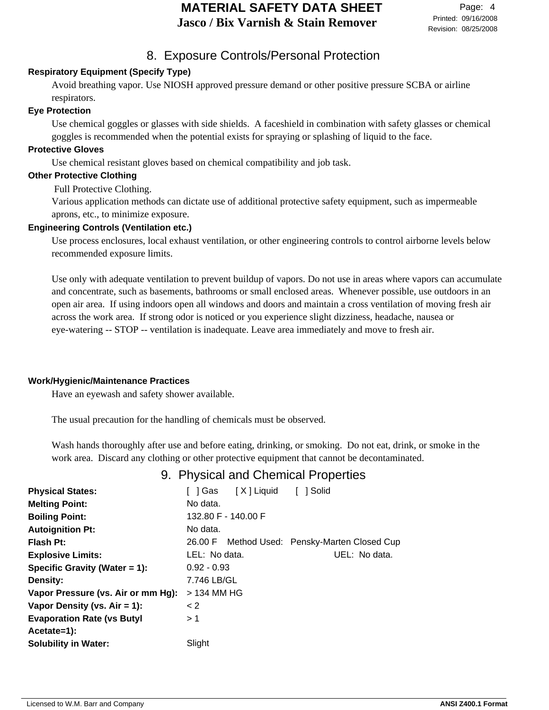## 8. Exposure Controls/Personal Protection

### **Respiratory Equipment (Specify Type)**

Avoid breathing vapor. Use NIOSH approved pressure demand or other positive pressure SCBA or airline respirators.

#### **Eye Protection**

Use chemical goggles or glasses with side shields. A faceshield in combination with safety glasses or chemical goggles is recommended when the potential exists for spraying or splashing of liquid to the face.

#### **Protective Gloves**

Use chemical resistant gloves based on chemical compatibility and job task.

#### **Other Protective Clothing**

Full Protective Clothing.

Various application methods can dictate use of additional protective safety equipment, such as impermeable aprons, etc., to minimize exposure.

#### **Engineering Controls (Ventilation etc.)**

Use process enclosures, local exhaust ventilation, or other engineering controls to control airborne levels below recommended exposure limits.

Use only with adequate ventilation to prevent buildup of vapors. Do not use in areas where vapors can accumulate and concentrate, such as basements, bathrooms or small enclosed areas. Whenever possible, use outdoors in an open air area. If using indoors open all windows and doors and maintain a cross ventilation of moving fresh air across the work area. If strong odor is noticed or you experience slight dizziness, headache, nausea or eye-watering -- STOP -- ventilation is inadequate. Leave area immediately and move to fresh air.

#### **Work/Hygienic/Maintenance Practices**

Have an eyewash and safety shower available.

The usual precaution for the handling of chemicals must be observed.

Wash hands thoroughly after use and before eating, drinking, or smoking. Do not eat, drink, or smoke in the work area. Discard any clothing or other protective equipment that cannot be decontaminated.

### 9. Physical and Chemical Properties

| <b>Physical States:</b>            | 1 Gas               | [X] Liquid | 1 Solid                                       |
|------------------------------------|---------------------|------------|-----------------------------------------------|
| <b>Melting Point:</b>              | No data.            |            |                                               |
| <b>Boiling Point:</b>              | 132.80 F - 140.00 F |            |                                               |
| <b>Autoignition Pt:</b>            | No data.            |            |                                               |
| Flash Pt:                          |                     |            | 26.00 F Method Used: Pensky-Marten Closed Cup |
| <b>Explosive Limits:</b>           | LEL: No data.       |            | UEL: No data.                                 |
| Specific Gravity (Water $= 1$ ):   | $0.92 - 0.93$       |            |                                               |
| Density:                           | 7.746 LB/GL         |            |                                               |
| Vapor Pressure (vs. Air or mm Hg): | > 134 MM HG         |            |                                               |
| Vapor Density (vs. $Air = 1$ ):    | < 2                 |            |                                               |
| <b>Evaporation Rate (vs Butyl</b>  | >1                  |            |                                               |
| Acetate=1):                        |                     |            |                                               |
| <b>Solubility in Water:</b>        | Slight              |            |                                               |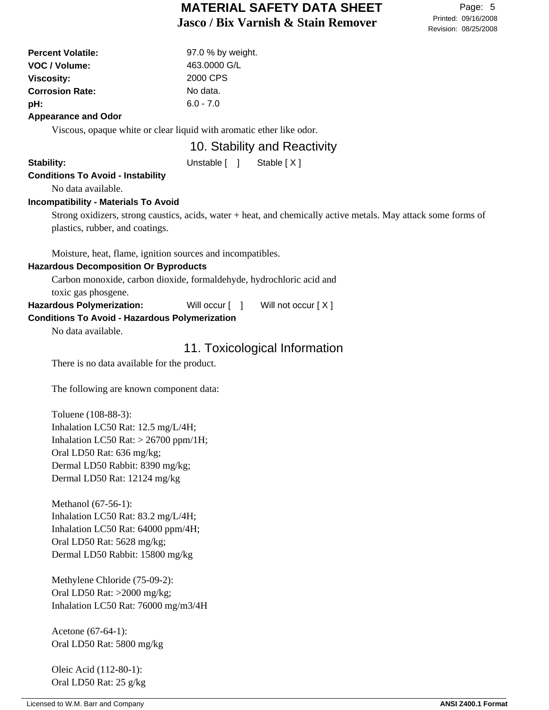| <b>Percent Volatile:</b> | 97.0 % by weight. |
|--------------------------|-------------------|
| VOC / Volume:            | 463,0000 G/L      |
| <b>Viscosity:</b>        | 2000 CPS          |
| <b>Corrosion Rate:</b>   | No data.          |
| pH:                      | $6.0 - 7.0$       |
| Amprovement and Odar     |                   |

#### **Appearance and Odor**

Viscous, opaque white or clear liquid with aromatic ether like odor.

### 10. Stability and Reactivity

Stability: Unstable [ ] Stable [ X ]

# **Conditions To Avoid - Instability**

No data available.

#### **Incompatibility - Materials To Avoid**

Strong oxidizers, strong caustics, acids, water + heat, and chemically active metals. May attack some forms of plastics, rubber, and coatings.

Moisture, heat, flame, ignition sources and incompatibles.

#### **Hazardous Decomposition Or Byproducts**

Carbon monoxide, carbon dioxide, formaldehyde, hydrochloric acid and toxic gas phosgene.

Hazardous Polymerization: Will occur [ ] Will not occur [ X ]

#### **Conditions To Avoid - Hazardous Polymerization**

No data available.

### 11. Toxicological Information

There is no data available for the product.

The following are known component data:

Toluene (108-88-3): Inhalation LC50 Rat: 12.5 mg/L/4H; Inhalation LC50 Rat:  $> 26700$  ppm/1H; Oral LD50 Rat: 636 mg/kg; Dermal LD50 Rabbit: 8390 mg/kg; Dermal LD50 Rat: 12124 mg/kg

Methanol (67-56-1): Inhalation LC50 Rat: 83.2 mg/L/4H; Inhalation LC50 Rat: 64000 ppm/4H; Oral LD50 Rat: 5628 mg/kg; Dermal LD50 Rabbit: 15800 mg/kg

Methylene Chloride (75-09-2): Oral LD50 Rat: >2000 mg/kg; Inhalation LC50 Rat: 76000 mg/m3/4H

Acetone (67-64-1): Oral LD50 Rat: 5800 mg/kg

Oleic Acid (112-80-1): Oral LD50 Rat: 25 g/kg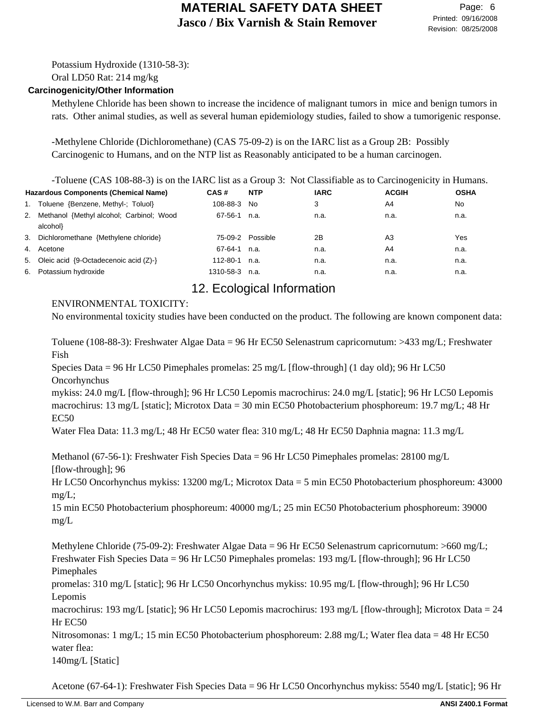Potassium Hydroxide (1310-58-3):

Oral LD50 Rat: 214 mg/kg

#### **Carcinogenicity/Other Information**

Methylene Chloride has been shown to increase the incidence of malignant tumors in mice and benign tumors in rats. Other animal studies, as well as several human epidemiology studies, failed to show a tumorigenic response.

-Methylene Chloride (Dichloromethane) (CAS 75-09-2) is on the IARC list as a Group 2B: Possibly Carcinogenic to Humans, and on the NTP list as Reasonably anticipated to be a human carcinogen.

-Toluene (CAS 108-88-3) is on the IARC list as a Group 3: Not Classifiable as to Carcinogenicity in Humans.

| Hazardous Components (Chemical Name) |                                                             | CAS#      | <b>NTP</b>       | <b>IARC</b> | <b>ACGIH</b> | <b>OSHA</b> |
|--------------------------------------|-------------------------------------------------------------|-----------|------------------|-------------|--------------|-------------|
|                                      | 1. Toluene {Benzene, Methyl-; Toluol}                       | 108-88-3  | No.              | 3           | A4           | No.         |
|                                      | 2. Methanol {Methyl alcohol; Carbinol; Wood<br>alcohol}     | 67-56-1   | n.a.             | n.a.        | n.a.         | n.a.        |
|                                      | 3. Dichloromethane {Methylene chloride}                     |           | 75-09-2 Possible | 2Β          | A3           | Yes         |
| 4.                                   | Acetone                                                     | 67-64-1   | n.a.             | n.a.        | A4           | n.a.        |
|                                      | 5. Oleic acid $\{9\text{-Octadecenoic acid }(\mathbb{Z})\}$ | 112-80-1  | n.a.             | n.a.        | n.a.         | n.a.        |
|                                      | 6. Potassium hydroxide                                      | 1310-58-3 | n.a.             | n.a.        | n.a.         | n.a.        |

## 12. Ecological Information

#### ENVIRONMENTAL TOXICITY:

No environmental toxicity studies have been conducted on the product. The following are known component data:

Toluene (108-88-3): Freshwater Algae Data = 96 Hr EC50 Selenastrum capricornutum: >433 mg/L; Freshwater Fish

Species Data = 96 Hr LC50 Pimephales promelas: 25 mg/L [flow-through] (1 day old); 96 Hr LC50 Oncorhynchus

mykiss: 24.0 mg/L [flow-through]; 96 Hr LC50 Lepomis macrochirus: 24.0 mg/L [static]; 96 Hr LC50 Lepomis macrochirus: 13 mg/L [static]; Microtox Data = 30 min EC50 Photobacterium phosphoreum: 19.7 mg/L; 48 Hr EC50

Water Flea Data: 11.3 mg/L; 48 Hr EC50 water flea: 310 mg/L; 48 Hr EC50 Daphnia magna: 11.3 mg/L

Methanol (67-56-1): Freshwater Fish Species Data = 96 Hr LC50 Pimephales promelas: 28100 mg/L [flow-through]; 96

Hr LC50 Oncorhynchus mykiss: 13200 mg/L; Microtox Data = 5 min EC50 Photobacterium phosphoreum: 43000  $mg/L$ ;

15 min EC50 Photobacterium phosphoreum: 40000 mg/L; 25 min EC50 Photobacterium phosphoreum: 39000 mg/L

Methylene Chloride (75-09-2): Freshwater Algae Data = 96 Hr EC50 Selenastrum capricornutum: >660 mg/L; Freshwater Fish Species Data = 96 Hr LC50 Pimephales promelas: 193 mg/L [flow-through]; 96 Hr LC50 Pimephales

promelas: 310 mg/L [static]; 96 Hr LC50 Oncorhynchus mykiss: 10.95 mg/L [flow-through]; 96 Hr LC50 Lepomis

macrochirus: 193 mg/L [static]; 96 Hr LC50 Lepomis macrochirus: 193 mg/L [flow-through]; Microtox Data = 24 Hr EC50

Nitrosomonas: 1 mg/L; 15 min EC50 Photobacterium phosphoreum: 2.88 mg/L; Water flea data = 48 Hr EC50 water flea:

140mg/L [Static]

Acetone (67-64-1): Freshwater Fish Species Data = 96 Hr LC50 Oncorhynchus mykiss: 5540 mg/L [static]; 96 Hr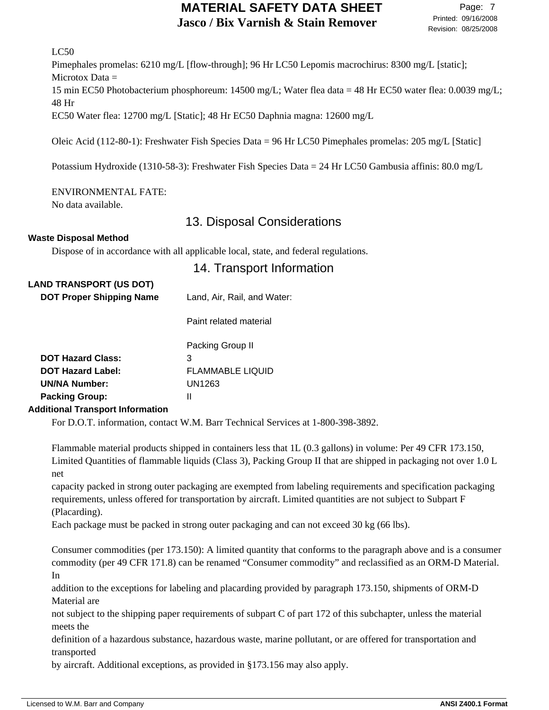#### LC50

Pimephales promelas: 6210 mg/L [flow-through]; 96 Hr LC50 Lepomis macrochirus: 8300 mg/L [static]; Microtox Data = 15 min EC50 Photobacterium phosphoreum: 14500 mg/L; Water flea data = 48 Hr EC50 water flea: 0.0039 mg/L; 48 Hr EC50 Water flea: 12700 mg/L [Static]; 48 Hr EC50 Daphnia magna: 12600 mg/L

Oleic Acid (112-80-1): Freshwater Fish Species Data = 96 Hr LC50 Pimephales promelas: 205 mg/L [Static]

Potassium Hydroxide (1310-58-3): Freshwater Fish Species Data = 24 Hr LC50 Gambusia affinis: 80.0 mg/L

#### ENVIRONMENTAL FATE:

No data available.

### 13. Disposal Considerations

#### **Waste Disposal Method**

Dispose of in accordance with all applicable local, state, and federal regulations.

### 14. Transport Information

| <b>LAND TRANSPORT (US DOT)</b><br><b>DOT Proper Shipping Name</b>                                     | Land, Air, Rail, and Water:                                     |  |  |
|-------------------------------------------------------------------------------------------------------|-----------------------------------------------------------------|--|--|
|                                                                                                       | Paint related material                                          |  |  |
| <b>DOT Hazard Class:</b><br><b>DOT Hazard Label:</b><br><b>UN/NA Number:</b><br><b>Packing Group:</b> | Packing Group II<br>3<br><b>FLAMMABLE LIQUID</b><br>UN1263<br>Ш |  |  |

#### **Additional Transport Information**

For D.O.T. information, contact W.M. Barr Technical Services at 1-800-398-3892.

Flammable material products shipped in containers less that 1L (0.3 gallons) in volume: Per 49 CFR 173.150, Limited Quantities of flammable liquids (Class 3), Packing Group II that are shipped in packaging not over 1.0 L net

capacity packed in strong outer packaging are exempted from labeling requirements and specification packaging requirements, unless offered for transportation by aircraft. Limited quantities are not subject to Subpart F (Placarding).

Each package must be packed in strong outer packaging and can not exceed 30 kg (66 lbs).

Consumer commodities (per 173.150): A limited quantity that conforms to the paragraph above and is a consumer commodity (per 49 CFR 171.8) can be renamed "Consumer commodity" and reclassified as an ORM-D Material. In

addition to the exceptions for labeling and placarding provided by paragraph 173.150, shipments of ORM-D Material are

not subject to the shipping paper requirements of subpart C of part 172 of this subchapter, unless the material meets the

definition of a hazardous substance, hazardous waste, marine pollutant, or are offered for transportation and transported

by aircraft. Additional exceptions, as provided in §173.156 may also apply.